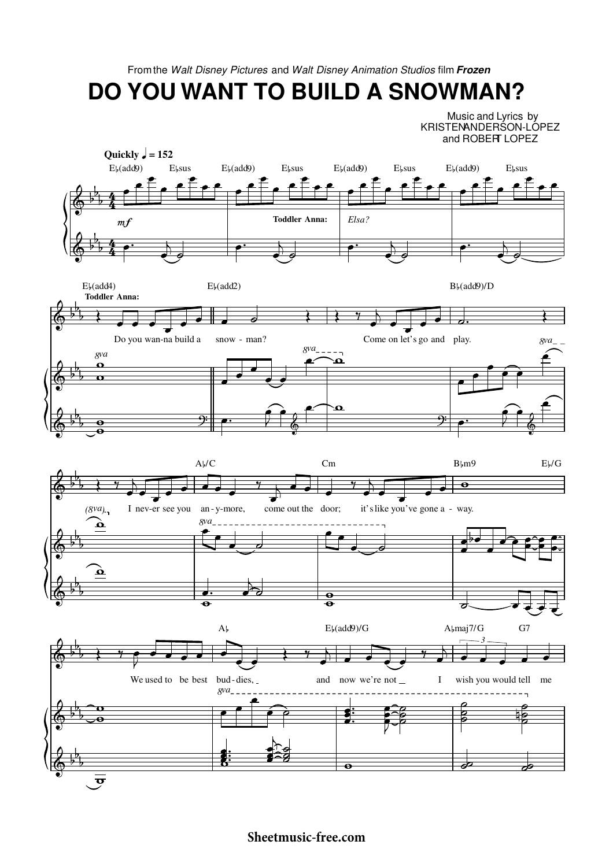From the Walt Disney Pictures and Walt Disney Animation Studios film Frozen

**DO YOU WANT TO BUILD A SNOWMAN?** 

Music and Lyrics by KRISTENANDERSON-LOPEZ and ROBERT LOPEZ

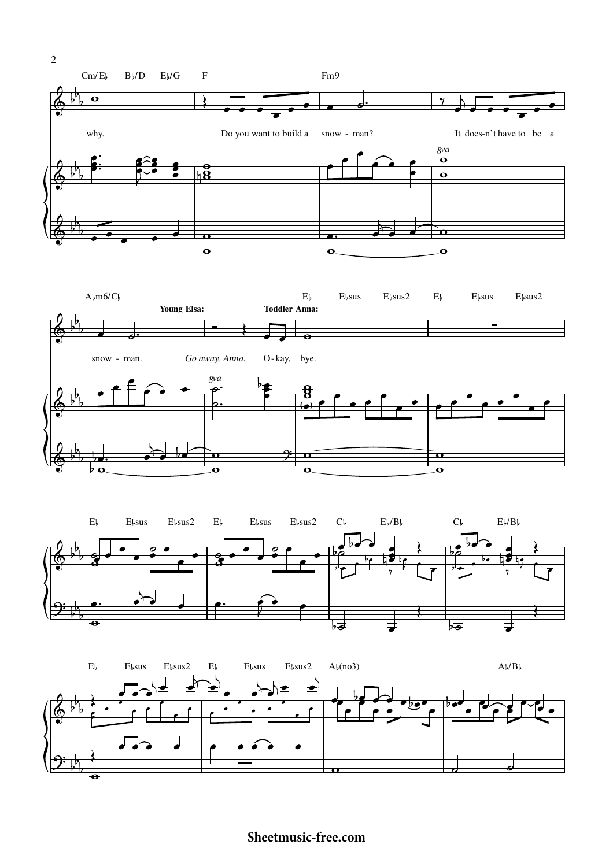





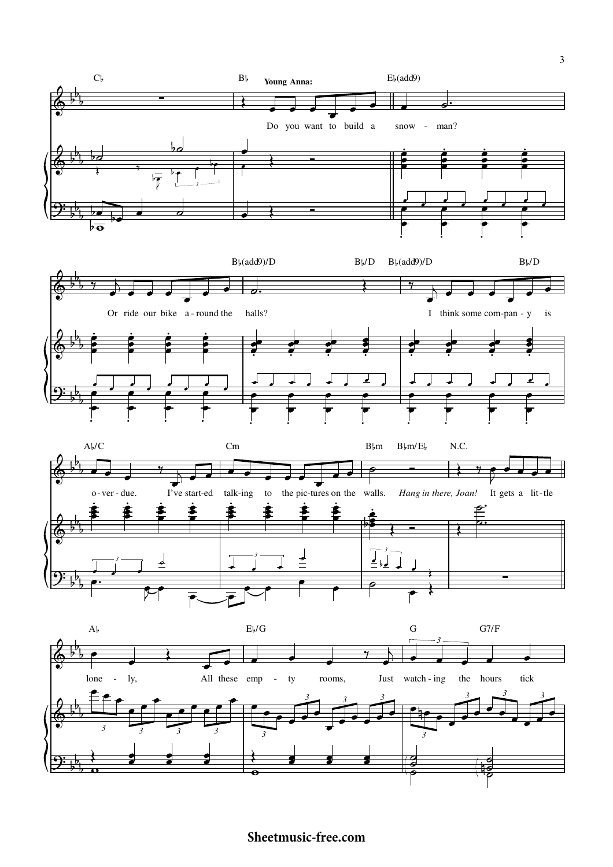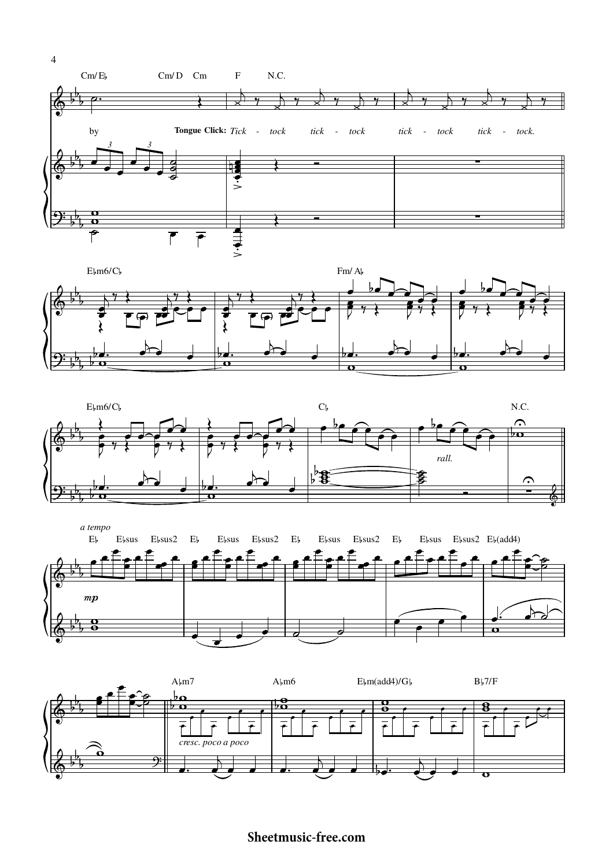





a tempo  $E<sub>b</sub>$  $E$ <sub>b</sub>sus2  $E$ <sub>b</sub>  $E$ <sub>bsus</sub>  $E$ <sub>b</sub>sus2  $E$ <sub>b</sub>  $E$ <sub>b</sub>sus  $E$ <sub>b</sub>sus2  $E$ <sub>b</sub> E<sub>bsus</sub> E<sub>bsus</sub>2 E<sub>b</sub>(add4)  $E$ <sub>b</sub>sus  $mp$ ¢ €  $\overline{\mathbf{u}}$ 

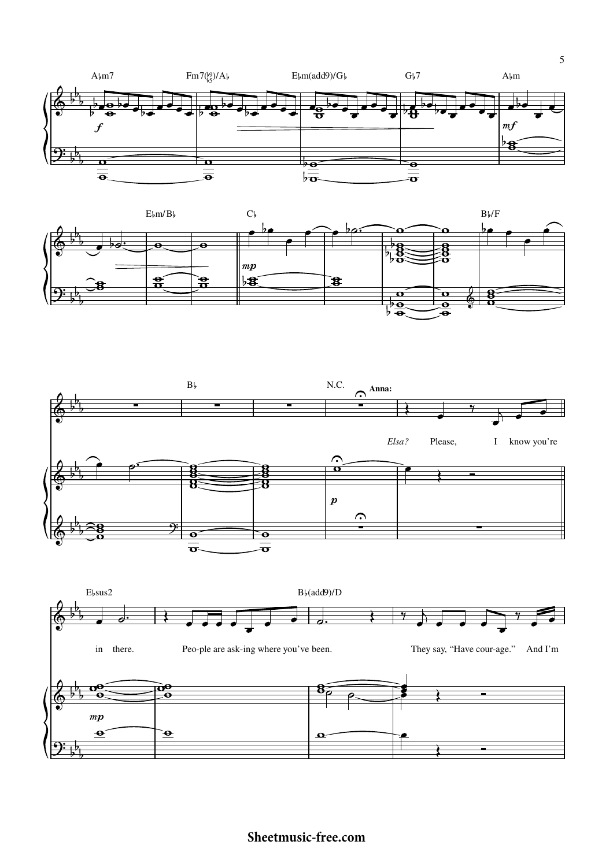